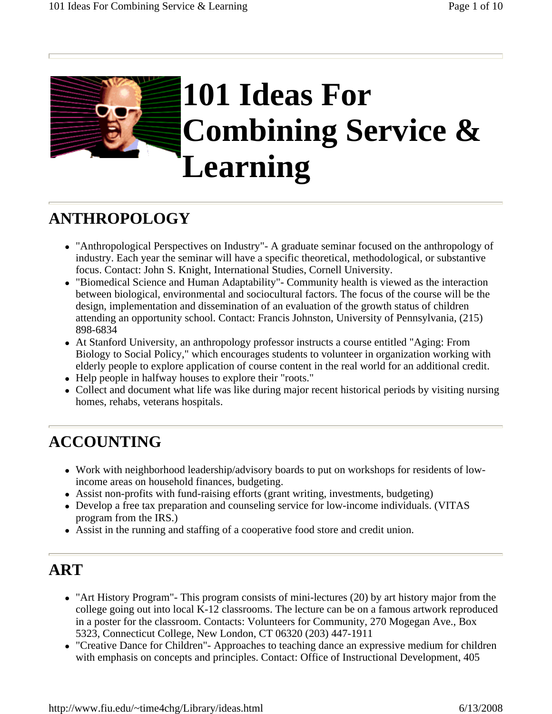

### **ANTHROPOLOGY**

- "Anthropological Perspectives on Industry"- A graduate seminar focused on the anthropology of industry. Each year the seminar will have a specific theoretical, methodological, or substantive focus. Contact: John S. Knight, International Studies, Cornell University.
- "Biomedical Science and Human Adaptability"- Community health is viewed as the interaction between biological, environmental and sociocultural factors. The focus of the course will be the design, implementation and dissemination of an evaluation of the growth status of children attending an opportunity school. Contact: Francis Johnston, University of Pennsylvania, (215) 898-6834
- At Stanford University, an anthropology professor instructs a course entitled "Aging: From Biology to Social Policy," which encourages students to volunteer in organization working with elderly people to explore application of course content in the real world for an additional credit.
- Help people in halfway houses to explore their "roots."
- Collect and document what life was like during major recent historical periods by visiting nursing homes, rehabs, veterans hospitals.

# **ACCOUNTING**

- Work with neighborhood leadership/advisory boards to put on workshops for residents of lowincome areas on household finances, budgeting.
- Assist non-profits with fund-raising efforts (grant writing, investments, budgeting)
- Develop a free tax preparation and counseling service for low-income individuals. (VITAS program from the IRS.)
- Assist in the running and staffing of a cooperative food store and credit union.

#### **ART**

- "Art History Program" This program consists of mini-lectures (20) by art history major from the college going out into local K-12 classrooms. The lecture can be on a famous artwork reproduced in a poster for the classroom. Contacts: Volunteers for Community, 270 Mogegan Ave., Box 5323, Connecticut College, New London, CT 06320 (203) 447-1911
- "Creative Dance for Children"- Approaches to teaching dance an expressive medium for children with emphasis on concepts and principles. Contact: Office of Instructional Development, 405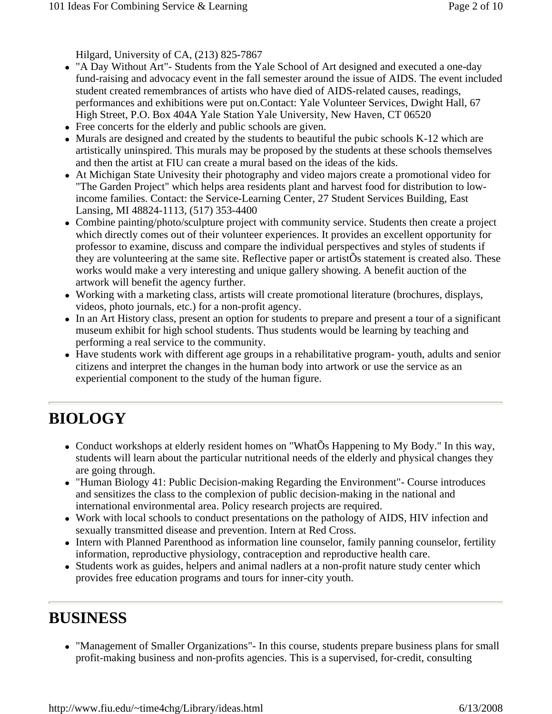Hilgard, University of CA, (213) 825-7867

- "A Day Without Art"- Students from the Yale School of Art designed and executed a one-day fund-raising and advocacy event in the fall semester around the issue of AIDS. The event included student created remembrances of artists who have died of AIDS-related causes, readings, performances and exhibitions were put on.Contact: Yale Volunteer Services, Dwight Hall, 67 High Street, P.O. Box 404A Yale Station Yale University, New Haven, CT 06520
- Free concerts for the elderly and public schools are given.
- Murals are designed and created by the students to beautiful the pubic schools K-12 which are artistically uninspired. This murals may be proposed by the students at these schools themselves and then the artist at FIU can create a mural based on the ideas of the kids.
- At Michigan State Univesity their photography and video majors create a promotional video for "The Garden Project" which helps area residents plant and harvest food for distribution to lowincome families. Contact: the Service-Learning Center, 27 Student Services Building, East Lansing, MI 48824-1113, (517) 353-4400
- Combine painting/photo/sculpture project with community service. Students then create a project which directly comes out of their volunteer experiences. It provides an excellent opportunity for professor to examine, discuss and compare the individual perspectives and styles of students if they are volunteering at the same site. Reflective paper or artistÕs statement is created also. These works would make a very interesting and unique gallery showing. A benefit auction of the artwork will benefit the agency further.
- Working with a marketing class, artists will create promotional literature (brochures, displays, videos, photo journals, etc.) for a non-profit agency.
- In an Art History class, present an option for students to prepare and present a tour of a significant museum exhibit for high school students. Thus students would be learning by teaching and performing a real service to the community.
- Have students work with different age groups in a rehabilitative program- youth, adults and senior citizens and interpret the changes in the human body into artwork or use the service as an experiential component to the study of the human figure.

# **BIOLOGY**

- Conduct workshops at elderly resident homes on "WhatÕs Happening to My Body." In this way, students will learn about the particular nutritional needs of the elderly and physical changes they are going through.
- "Human Biology 41: Public Decision-making Regarding the Environment"- Course introduces and sensitizes the class to the complexion of public decision-making in the national and international environmental area. Policy research projects are required.
- Work with local schools to conduct presentations on the pathology of AIDS, HIV infection and sexually transmitted disease and prevention. Intern at Red Cross.
- Intern with Planned Parenthood as information line counselor, family panning counselor, fertility information, reproductive physiology, contraception and reproductive health care.
- Students work as guides, helpers and animal nadlers at a non-profit nature study center which provides free education programs and tours for inner-city youth.

# **BUSINESS**

• "Management of Smaller Organizations"- In this course, students prepare business plans for small profit-making business and non-profits agencies. This is a supervised, for-credit, consulting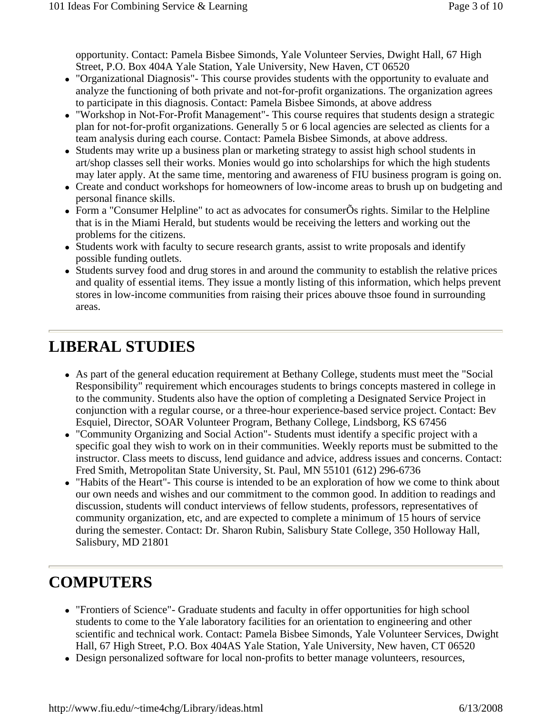opportunity. Contact: Pamela Bisbee Simonds, Yale Volunteer Servies, Dwight Hall, 67 High Street, P.O. Box 404A Yale Station, Yale University, New Haven, CT 06520

- "Organizational Diagnosis"- This course provides students with the opportunity to evaluate and analyze the functioning of both private and not-for-profit organizations. The organization agrees to participate in this diagnosis. Contact: Pamela Bisbee Simonds, at above address
- "Workshop in Not-For-Profit Management"- This course requires that students design a strategic plan for not-for-profit organizations. Generally 5 or 6 local agencies are selected as clients for a team analysis during each course. Contact: Pamela Bisbee Simonds, at above address.
- Students may write up a business plan or marketing strategy to assist high school students in art/shop classes sell their works. Monies would go into scholarships for which the high students may later apply. At the same time, mentoring and awareness of FIU business program is going on.
- Create and conduct workshops for homeowners of low-income areas to brush up on budgeting and personal finance skills.
- Form a "Consumer Helpline" to act as advocates for consumerÕs rights. Similar to the Helpline that is in the Miami Herald, but students would be receiving the letters and working out the problems for the citizens.
- Students work with faculty to secure research grants, assist to write proposals and identify possible funding outlets.
- Students survey food and drug stores in and around the community to establish the relative prices and quality of essential items. They issue a montly listing of this information, which helps prevent stores in low-income communities from raising their prices abouve thsoe found in surrounding areas.

## **LIBERAL STUDIES**

- As part of the general education requirement at Bethany College, students must meet the "Social" Responsibility" requirement which encourages students to brings concepts mastered in college in to the community. Students also have the option of completing a Designated Service Project in conjunction with a regular course, or a three-hour experience-based service project. Contact: Bev Esquiel, Director, SOAR Volunteer Program, Bethany College, Lindsborg, KS 67456
- "Community Organizing and Social Action"- Students must identify a specific project with a specific goal they wish to work on in their communities. Weekly reports must be submitted to the instructor. Class meets to discuss, lend guidance and advice, address issues and concerns. Contact: Fred Smith, Metropolitan State University, St. Paul, MN 55101 (612) 296-6736
- "Habits of the Heart"- This course is intended to be an exploration of how we come to think about our own needs and wishes and our commitment to the common good. In addition to readings and discussion, students will conduct interviews of fellow students, professors, representatives of community organization, etc, and are expected to complete a minimum of 15 hours of service during the semester. Contact: Dr. Sharon Rubin, Salisbury State College, 350 Holloway Hall, Salisbury, MD 21801

# **COMPUTERS**

- "Frontiers of Science"- Graduate students and faculty in offer opportunities for high school students to come to the Yale laboratory facilities for an orientation to engineering and other scientific and technical work. Contact: Pamela Bisbee Simonds, Yale Volunteer Services, Dwight Hall, 67 High Street, P.O. Box 404AS Yale Station, Yale University, New haven, CT 06520
- Design personalized software for local non-profits to better manage volunteers, resources,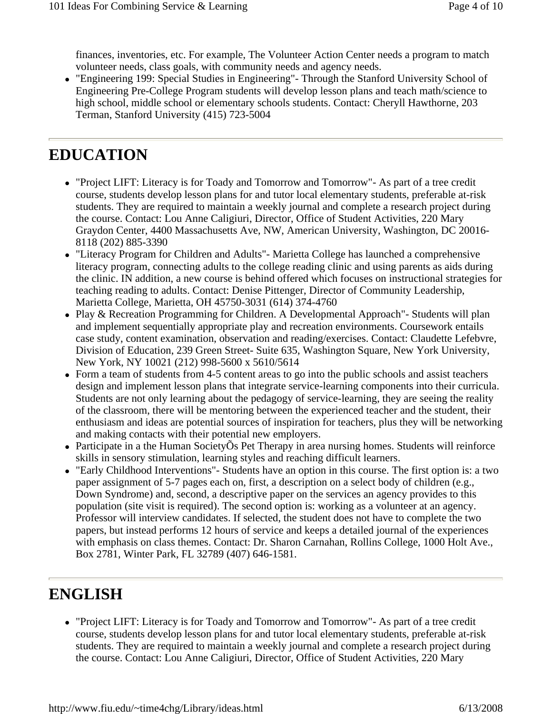finances, inventories, etc. For example, The Volunteer Action Center needs a program to match volunteer needs, class goals, with community needs and agency needs.

• "Engineering 199: Special Studies in Engineering"- Through the Stanford University School of Engineering Pre-College Program students will develop lesson plans and teach math/science to high school, middle school or elementary schools students. Contact: Cheryll Hawthorne, 203 Terman, Stanford University (415) 723-5004

#### **EDUCATION**

- "Project LIFT: Literacy is for Toady and Tomorrow and Tomorrow"- As part of a tree credit course, students develop lesson plans for and tutor local elementary students, preferable at-risk students. They are required to maintain a weekly journal and complete a research project during the course. Contact: Lou Anne Caligiuri, Director, Office of Student Activities, 220 Mary Graydon Center, 4400 Massachusetts Ave, NW, American University, Washington, DC 20016- 8118 (202) 885-3390
- "Literacy Program for Children and Adults" Marietta College has launched a comprehensive literacy program, connecting adults to the college reading clinic and using parents as aids during the clinic. IN addition, a new course is behind offered which focuses on instructional strategies for teaching reading to adults. Contact: Denise Pittenger, Director of Community Leadership, Marietta College, Marietta, OH 45750-3031 (614) 374-4760
- Play & Recreation Programming for Children. A Developmental Approach"- Students will plan and implement sequentially appropriate play and recreation environments. Coursework entails case study, content examination, observation and reading/exercises. Contact: Claudette Lefebvre, Division of Education, 239 Green Street- Suite 635, Washington Square, New York University, New York, NY 10021 (212) 998-5600 x 5610/5614
- Form a team of students from 4-5 content areas to go into the public schools and assist teachers design and implement lesson plans that integrate service-learning components into their curricula. Students are not only learning about the pedagogy of service-learning, they are seeing the reality of the classroom, there will be mentoring between the experienced teacher and the student, their enthusiasm and ideas are potential sources of inspiration for teachers, plus they will be networking and making contacts with their potential new employers.
- Participate in a the Human SocietyÕs Pet Therapy in area nursing homes. Students will reinforce skills in sensory stimulation, learning styles and reaching difficult learners.
- "Early Childhood Interventions" Students have an option in this course. The first option is: a two paper assignment of 5-7 pages each on, first, a description on a select body of children (e.g., Down Syndrome) and, second, a descriptive paper on the services an agency provides to this population (site visit is required). The second option is: working as a volunteer at an agency. Professor will interview candidates. If selected, the student does not have to complete the two papers, but instead performs 12 hours of service and keeps a detailed journal of the experiences with emphasis on class themes. Contact: Dr. Sharon Carnahan, Rollins College, 1000 Holt Ave., Box 2781, Winter Park, FL 32789 (407) 646-1581.

### **ENGLISH**

• "Project LIFT: Literacy is for Toady and Tomorrow and Tomorrow"- As part of a tree credit course, students develop lesson plans for and tutor local elementary students, preferable at-risk students. They are required to maintain a weekly journal and complete a research project during the course. Contact: Lou Anne Caligiuri, Director, Office of Student Activities, 220 Mary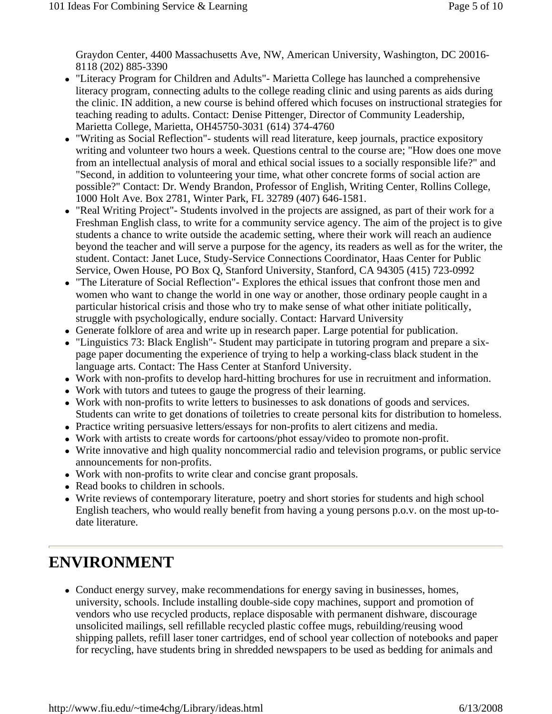Graydon Center, 4400 Massachusetts Ave, NW, American University, Washington, DC 20016- 8118 (202) 885-3390

- "Literacy Program for Children and Adults"- Marietta College has launched a comprehensive literacy program, connecting adults to the college reading clinic and using parents as aids during the clinic. IN addition, a new course is behind offered which focuses on instructional strategies for teaching reading to adults. Contact: Denise Pittenger, Director of Community Leadership, Marietta College, Marietta, OH45750-3031 (614) 374-4760
- "Writing as Social Reflection"- students will read literature, keep journals, practice expository writing and volunteer two hours a week. Questions central to the course are; "How does one move from an intellectual analysis of moral and ethical social issues to a socially responsible life?" and "Second, in addition to volunteering your time, what other concrete forms of social action are possible?" Contact: Dr. Wendy Brandon, Professor of English, Writing Center, Rollins College, 1000 Holt Ave. Box 2781, Winter Park, FL 32789 (407) 646-1581.
- "Real Writing Project"- Students involved in the projects are assigned, as part of their work for a Freshman English class, to write for a community service agency. The aim of the project is to give students a chance to write outside the academic setting, where their work will reach an audience beyond the teacher and will serve a purpose for the agency, its readers as well as for the writer, the student. Contact: Janet Luce, Study-Service Connections Coordinator, Haas Center for Public Service, Owen House, PO Box Q, Stanford University, Stanford, CA 94305 (415) 723-0992
- "The Literature of Social Reflection"- Explores the ethical issues that confront those men and women who want to change the world in one way or another, those ordinary people caught in a particular historical crisis and those who try to make sense of what other initiate politically, struggle with psychologically, endure socially. Contact: Harvard University
- Generate folklore of area and write up in research paper. Large potential for publication.
- "Linguistics 73: Black English"- Student may participate in tutoring program and prepare a sixpage paper documenting the experience of trying to help a working-class black student in the language arts. Contact: The Hass Center at Stanford University.
- Work with non-profits to develop hard-hitting brochures for use in recruitment and information.
- Work with tutors and tutees to gauge the progress of their learning.
- Work with non-profits to write letters to businesses to ask donations of goods and services. Students can write to get donations of toiletries to create personal kits for distribution to homeless.
- Practice writing persuasive letters/essays for non-profits to alert citizens and media.
- Work with artists to create words for cartoons/phot essay/video to promote non-profit.
- Write innovative and high quality noncommercial radio and television programs, or public service announcements for non-profits.
- Work with non-profits to write clear and concise grant proposals.
- Read books to children in schools.
- Write reviews of contemporary literature, poetry and short stories for students and high school English teachers, who would really benefit from having a young persons p.o.v. on the most up-todate literature.

### **ENVIRONMENT**

• Conduct energy survey, make recommendations for energy saving in businesses, homes, university, schools. Include installing double-side copy machines, support and promotion of vendors who use recycled products, replace disposable with permanent dishware, discourage unsolicited mailings, sell refillable recycled plastic coffee mugs, rebuilding/reusing wood shipping pallets, refill laser toner cartridges, end of school year collection of notebooks and paper for recycling, have students bring in shredded newspapers to be used as bedding for animals and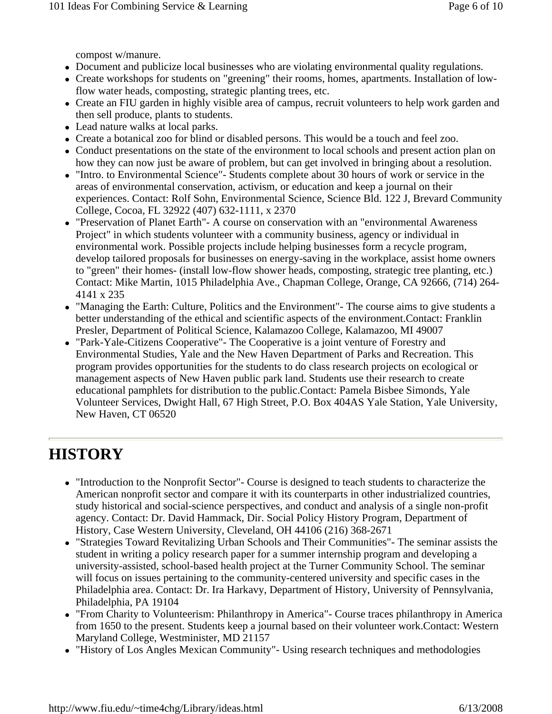compost w/manure.

- Document and publicize local businesses who are violating environmental quality regulations.
- Create workshops for students on "greening" their rooms, homes, apartments. Installation of lowflow water heads, composting, strategic planting trees, etc.
- Create an FIU garden in highly visible area of campus, recruit volunteers to help work garden and then sell produce, plants to students.
- Lead nature walks at local parks.
- Create a botanical zoo for blind or disabled persons. This would be a touch and feel zoo.
- Conduct presentations on the state of the environment to local schools and present action plan on how they can now just be aware of problem, but can get involved in bringing about a resolution.
- "Intro. to Environmental Science"- Students complete about 30 hours of work or service in the areas of environmental conservation, activism, or education and keep a journal on their experiences. Contact: Rolf Sohn, Environmental Science, Science Bld. 122 J, Brevard Community College, Cocoa, FL 32922 (407) 632-1111, x 2370
- "Preservation of Planet Earth"- A course on conservation with an "environmental Awareness" Project" in which students volunteer with a community business, agency or individual in environmental work. Possible projects include helping businesses form a recycle program, develop tailored proposals for businesses on energy-saving in the workplace, assist home owners to "green" their homes- (install low-flow shower heads, composting, strategic tree planting, etc.) Contact: Mike Martin, 1015 Philadelphia Ave., Chapman College, Orange, CA 92666, (714) 264- 4141 x 235
- "Managing the Earth: Culture, Politics and the Environment" The course aims to give students a better understanding of the ethical and scientific aspects of the environment.Contact: Franklin Presler, Department of Political Science, Kalamazoo College, Kalamazoo, MI 49007
- "Park-Yale-Citizens Cooperative"- The Cooperative is a joint venture of Forestry and Environmental Studies, Yale and the New Haven Department of Parks and Recreation. This program provides opportunities for the students to do class research projects on ecological or management aspects of New Haven public park land. Students use their research to create educational pamphlets for distribution to the public.Contact: Pamela Bisbee Simonds, Yale Volunteer Services, Dwight Hall, 67 High Street, P.O. Box 404AS Yale Station, Yale University, New Haven, CT 06520

# **HISTORY**

- "Introduction to the Nonprofit Sector"- Course is designed to teach students to characterize the American nonprofit sector and compare it with its counterparts in other industrialized countries, study historical and social-science perspectives, and conduct and analysis of a single non-profit agency. Contact: Dr. David Hammack, Dir. Social Policy History Program, Department of History, Case Western University, Cleveland, OH 44106 (216) 368-2671
- "Strategies Toward Revitalizing Urban Schools and Their Communities" The seminar assists the student in writing a policy research paper for a summer internship program and developing a university-assisted, school-based health project at the Turner Community School. The seminar will focus on issues pertaining to the community-centered university and specific cases in the Philadelphia area. Contact: Dr. Ira Harkavy, Department of History, University of Pennsylvania, Philadelphia, PA 19104
- "From Charity to Volunteerism: Philanthropy in America"- Course traces philanthropy in America from 1650 to the present. Students keep a journal based on their volunteer work.Contact: Western Maryland College, Westminister, MD 21157
- "History of Los Angles Mexican Community" Using research techniques and methodologies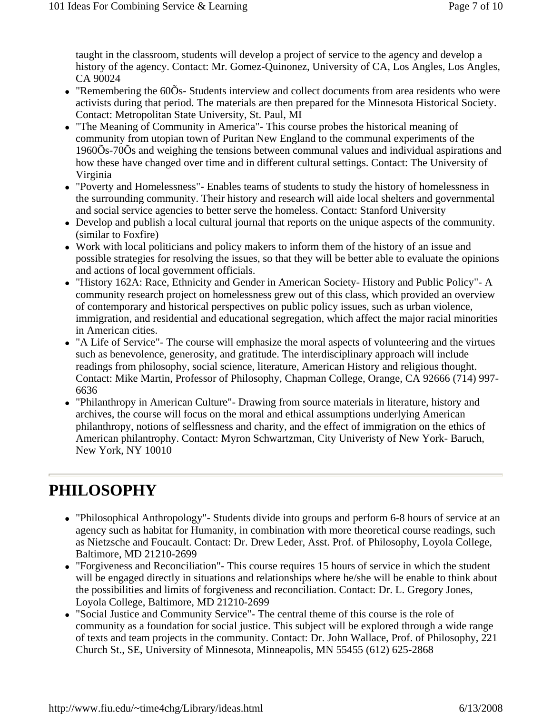taught in the classroom, students will develop a project of service to the agency and develop a history of the agency. Contact: Mr. Gomez-Quinonez, University of CA, Los Angles, Los Angles, CA 90024

- "Remembering the  $60\overline{O}$ s- Students interview and collect documents from area residents who were activists during that period. The materials are then prepared for the Minnesota Historical Society. Contact: Metropolitan State University, St. Paul, MI
- "The Meaning of Community in America"- This course probes the historical meaning of community from utopian town of Puritan New England to the communal experiments of the 1960Õs-70Õs and weighing the tensions between communal values and individual aspirations and how these have changed over time and in different cultural settings. Contact: The University of Virginia
- "Poverty and Homelessness"- Enables teams of students to study the history of homelessness in the surrounding community. Their history and research will aide local shelters and governmental and social service agencies to better serve the homeless. Contact: Stanford University
- Develop and publish a local cultural journal that reports on the unique aspects of the community. (similar to Foxfire)
- Work with local politicians and policy makers to inform them of the history of an issue and possible strategies for resolving the issues, so that they will be better able to evaluate the opinions and actions of local government officials.
- "History 162A: Race, Ethnicity and Gender in American Society- History and Public Policy"- A community research project on homelessness grew out of this class, which provided an overview of contemporary and historical perspectives on public policy issues, such as urban violence, immigration, and residential and educational segregation, which affect the major racial minorities in American cities.
- "A Life of Service" The course will emphasize the moral aspects of volunteering and the virtues such as benevolence, generosity, and gratitude. The interdisciplinary approach will include readings from philosophy, social science, literature, American History and religious thought. Contact: Mike Martin, Professor of Philosophy, Chapman College, Orange, CA 92666 (714) 997- 6636
- "Philanthropy in American Culture"- Drawing from source materials in literature, history and archives, the course will focus on the moral and ethical assumptions underlying American philanthropy, notions of selflessness and charity, and the effect of immigration on the ethics of American philantrophy. Contact: Myron Schwartzman, City Univeristy of New York- Baruch, New York, NY 10010

### **PHILOSOPHY**

- "Philosophical Anthropology"- Students divide into groups and perform 6-8 hours of service at an agency such as habitat for Humanity, in combination with more theoretical course readings, such as Nietzsche and Foucault. Contact: Dr. Drew Leder, Asst. Prof. of Philosophy, Loyola College, Baltimore, MD 21210-2699
- "Forgiveness and Reconciliation"- This course requires 15 hours of service in which the student will be engaged directly in situations and relationships where he/she will be enable to think about the possibilities and limits of forgiveness and reconciliation. Contact: Dr. L. Gregory Jones, Loyola College, Baltimore, MD 21210-2699
- "Social Justice and Community Service"- The central theme of this course is the role of community as a foundation for social justice. This subject will be explored through a wide range of texts and team projects in the community. Contact: Dr. John Wallace, Prof. of Philosophy, 221 Church St., SE, University of Minnesota, Minneapolis, MN 55455 (612) 625-2868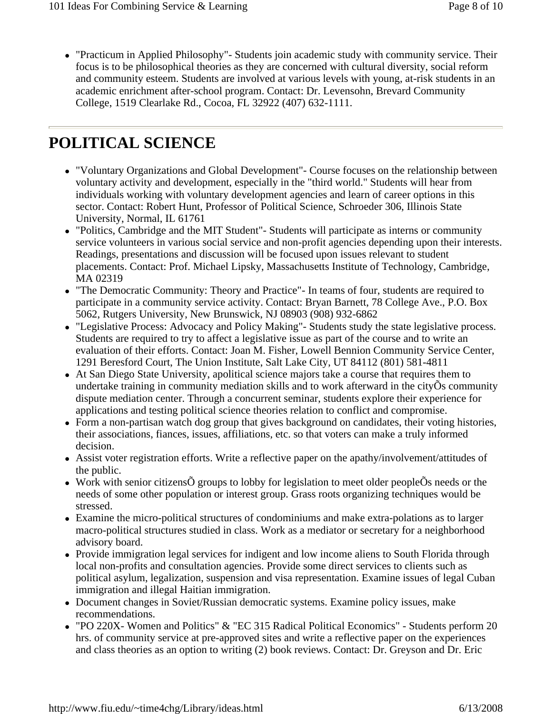• "Practicum in Applied Philosophy"- Students join academic study with community service. Their focus is to be philosophical theories as they are concerned with cultural diversity, social reform and community esteem. Students are involved at various levels with young, at-risk students in an academic enrichment after-school program. Contact: Dr. Levensohn, Brevard Community College, 1519 Clearlake Rd., Cocoa, FL 32922 (407) 632-1111.

#### **POLITICAL SCIENCE**

- "Voluntary Organizations and Global Development"- Course focuses on the relationship between voluntary activity and development, especially in the "third world." Students will hear from individuals working with voluntary development agencies and learn of career options in this sector. Contact: Robert Hunt, Professor of Political Science, Schroeder 306, Illinois State University, Normal, IL 61761
- "Politics, Cambridge and the MIT Student"- Students will participate as interns or community service volunteers in various social service and non-profit agencies depending upon their interests. Readings, presentations and discussion will be focused upon issues relevant to student placements. Contact: Prof. Michael Lipsky, Massachusetts Institute of Technology, Cambridge, MA 02319
- "The Democratic Community: Theory and Practice"- In teams of four, students are required to participate in a community service activity. Contact: Bryan Barnett, 78 College Ave., P.O. Box 5062, Rutgers University, New Brunswick, NJ 08903 (908) 932-6862
- "Legislative Process: Advocacy and Policy Making"- Students study the state legislative process. Students are required to try to affect a legislative issue as part of the course and to write an evaluation of their efforts. Contact: Joan M. Fisher, Lowell Bennion Community Service Center, 1291 Beresford Court, The Union Institute, Salt Lake City, UT 84112 (801) 581-4811
- At San Diego State University, apolitical science majors take a course that requires them to undertake training in community mediation skills and to work afterward in the city $\tilde{O}$ s community dispute mediation center. Through a concurrent seminar, students explore their experience for applications and testing political science theories relation to conflict and compromise.
- Form a non-partisan watch dog group that gives background on candidates, their voting histories, their associations, fiances, issues, affiliations, etc. so that voters can make a truly informed decision.
- Assist voter registration efforts. Write a reflective paper on the apathy/involvement/attitudes of the public.
- Work with senior citizens $\tilde{O}$  groups to lobby for legislation to meet older people $\tilde{O}$ s needs or the needs of some other population or interest group. Grass roots organizing techniques would be stressed.
- Examine the micro-political structures of condominiums and make extra-polations as to larger macro-political structures studied in class. Work as a mediator or secretary for a neighborhood advisory board.
- Provide immigration legal services for indigent and low income aliens to South Florida through local non-profits and consultation agencies. Provide some direct services to clients such as political asylum, legalization, suspension and visa representation. Examine issues of legal Cuban immigration and illegal Haitian immigration.
- Document changes in Soviet/Russian democratic systems. Examine policy issues, make recommendations.
- "PO 220X- Women and Politics" & "EC 315 Radical Political Economics" Students perform 20 hrs. of community service at pre-approved sites and write a reflective paper on the experiences and class theories as an option to writing (2) book reviews. Contact: Dr. Greyson and Dr. Eric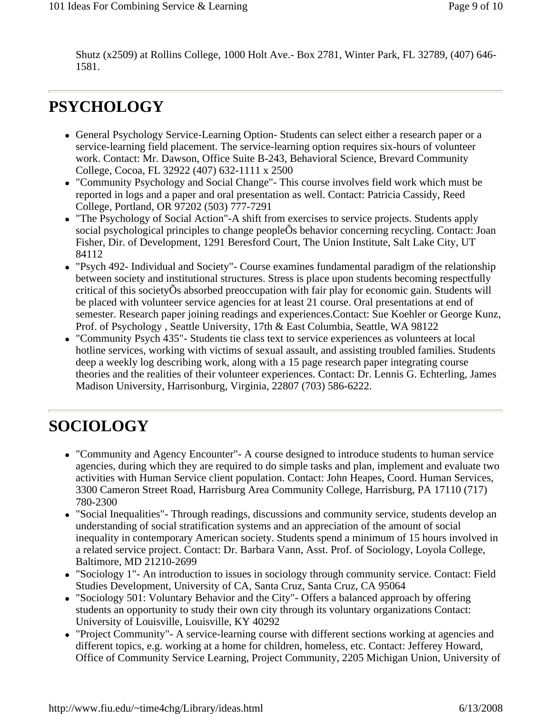Shutz (x2509) at Rollins College, 1000 Holt Ave.- Box 2781, Winter Park, FL 32789, (407) 646- 1581.

### **PSYCHOLOGY**

- General Psychology Service-Learning Option-Students can select either a research paper or a service-learning field placement. The service-learning option requires six-hours of volunteer work. Contact: Mr. Dawson, Office Suite B-243, Behavioral Science, Brevard Community College, Cocoa, FL 32922 (407) 632-1111 x 2500
- "Community Psychology and Social Change"- This course involves field work which must be reported in logs and a paper and oral presentation as well. Contact: Patricia Cassidy, Reed College, Portland, OR 97202 (503) 777-7291
- "The Psychology of Social Action"-A shift from exercises to service projects. Students apply social psychological principles to change peopleÕs behavior concerning recycling. Contact: Joan Fisher, Dir. of Development, 1291 Beresford Court, The Union Institute, Salt Lake City, UT 84112
- "Psych 492- Individual and Society"- Course examines fundamental paradigm of the relationship between society and institutional structures. Stress is place upon students becoming respectfully critical of this societyÕs absorbed preoccupation with fair play for economic gain. Students will be placed with volunteer service agencies for at least 21 course. Oral presentations at end of semester. Research paper joining readings and experiences.Contact: Sue Koehler or George Kunz, Prof. of Psychology , Seattle University, 17th & East Columbia, Seattle, WA 98122
- "Community Psych 435"- Students tie class text to service experiences as volunteers at local hotline services, working with victims of sexual assault, and assisting troubled families. Students deep a weekly log describing work, along with a 15 page research paper integrating course theories and the realities of their volunteer experiences. Contact: Dr. Lennis G. Echterling, James Madison University, Harrisonburg, Virginia, 22807 (703) 586-6222.

### **SOCIOLOGY**

- "Community and Agency Encounter"- A course designed to introduce students to human service agencies, during which they are required to do simple tasks and plan, implement and evaluate two activities with Human Service client population. Contact: John Heapes, Coord. Human Services, 3300 Cameron Street Road, Harrisburg Area Community College, Harrisburg, PA 17110 (717) 780-2300
- "Social Inequalities" Through readings, discussions and community service, students develop an understanding of social stratification systems and an appreciation of the amount of social inequality in contemporary American society. Students spend a minimum of 15 hours involved in a related service project. Contact: Dr. Barbara Vann, Asst. Prof. of Sociology, Loyola College, Baltimore, MD 21210-2699
- "Sociology 1"- An introduction to issues in sociology through community service. Contact: Field Studies Development, University of CA, Santa Cruz, Santa Cruz, CA 95064
- "Sociology 501: Voluntary Behavior and the City"- Offers a balanced approach by offering students an opportunity to study their own city through its voluntary organizations Contact: University of Louisville, Louisville, KY 40292
- "Project Community"- A service-learning course with different sections working at agencies and different topics, e.g. working at a home for children, homeless, etc. Contact: Jefferey Howard, Office of Community Service Learning, Project Community, 2205 Michigan Union, University of